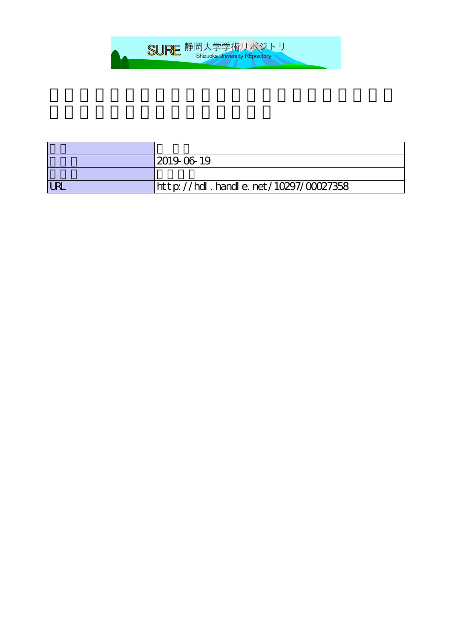

| 2019-06-19                           |
|--------------------------------------|
|                                      |
| http://hdl.handle.net/10297/00027358 |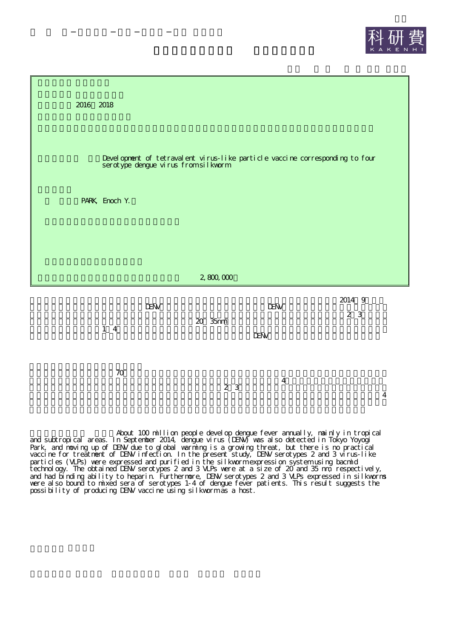



| $1\quad 4$ | <b>DEW</b> | <b>DEW</b> | 2014 9 |
|------------|------------|------------|--------|
|            | 20 35mm    | <b>IEW</b> | 2 3    |
| 70         | 2 3        | 4          | 4      |

About 100 million people develop dengue fever annually, mainly in tropical and subtropical areas. In September 2014, dengue virus (DENV) was also detected in Tokyo Yoyogi Park, and moving up of DENV due to global warming is a growing threat, but there is no practical vaccine for treatment of DENV infection. In the present study, DENV serotypes 2 and 3 virus-like particles (VLPs) were expressed and purified in the silkworm expression system using bacmid technology. The obtained DENV serotypes 2 and 3 VLPs were at a size of 20 and 35 nm, respectively, and had binding ability to heparin. Furthermore, DENV serotypes 2 and 3 VLPs expressed in silkworms were also bound to mixed sera of serotypes 1-4 of dengue fever patients. This result suggests the possibility of producing DENV vaccine using silkworm as a host.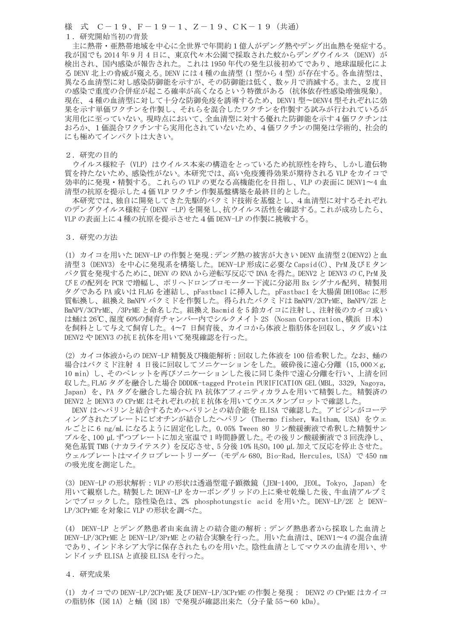様 式 C-19、F-19-1、Z-19、CK-19(共通) 1.研究開始当初の背景

主に熱帯・亜熱帯地域を中心に全世界で年間約1億人がデング熱やデング出血熱を発症する。 我が国でも 2014年9月4日に、東京代々木公園で採取された蚊からデングウイルス (DENV) が 検出され、国内感染が報告された。これは 1950 年代の発生以後初めてであり、地球温暖化によ る DENV 北上の脅威が窺える。DENV には 4 種の血清型(1 型から 4 型)が存在する。各血清型は、 異なる血清型に対し感染防御能を示すが、その防御能は低く、数ヶ月で消滅する。また、2度目 の感染で重度の合併症が起こる確率が高くなるという特徴がある(抗体依存性感染増強現象)。 現在、4種の血清型に対して十分な防御免疫を誘導するため、DENV1 型〜DENV4 型それぞれに効 果を示す単価ワクチンを作製し、それらを混合したワクチンを作製する試みが行われているが 実用化に至っていない。現時点において、全血清型に対する優れた防御能を示す4価ワクチンは おろか、1価混合ワクチンすら実用化されていないため、4価ワクチンの開発は学術的、社会的 にも極めてインパクトは大きい。

2.研究の目的

ウイルス様粒子 (VLP) はウイルス本来の構造をとっているため抗原性を持ち、しかし遺伝物 質を持たないため、感染性がない。本研究では、高い免疫獲得効果が期待される VLP をカイコで 効率的に発現・精製する。これらの VLP の更なる高機能化を目指し、VLP の表面に DENV1〜4 血 清型の抗原を提示した4価 VLP ワクチン作製基盤構築を最終目的とした。

本研究では、独自に開発してきた先駆的バクミド技術を基盤とし、4血清型に対するそれぞれ のデングウイルス様粒子(DENV −LP)を開発し、抗ウイルス活性を確認する。これが成功したら、 VLP の表面上に4種の抗原を提示させた4価 DENV-LP の作製に挑戦する。

3.研究の方法

(1) カイコを用いた DENV-LP の作製と発現:デング熱の被害が大きい DENV 血清型 2(DENV2)と血 清型 3(DENV3)を中心に発現系を構築した。DENV-LP 形成に必要な Capsid(C)、PrM 及び E タン パク質を発現するために、DENV の RNA から逆転写反応で DNA を得た。DENV2 と DENV3 の C,PrM 及 び E の配列を PCR で増幅し、ポリへドロンプロモーター下流に分泌用 Bx シグナル配列、精製用 タグである PA 或いは FLAG を連結し、pFastbac1 に挿入した。pFastbac1 を大腸菌 DH10Bac に形 質転換し、組換え BmNPV バクミドを作製した。得られたバクミドは BmNPV/2CPrME、BmNPV/2E と BmNPV/3CPrME、/3PrME と命名した。組換え Bacmid を 5 鈴カイコに注射し、注射後のカイコ或い は蛹は 26℃、湿度 60%の飼育チャンバー内でシルクメイト 2S (Nosan Corporation、横浜 日本) を飼料として与えて飼育した。4〜7 日飼育後、カイコから体液と脂肪体を回収し、タグ或いは DENV2 や DENV3 の抗 E 抗体を用いて発現確認を行った。

(2) カイコ体液からの DENV-LP 精製及び機能解析:回収した体液を 100 倍希釈した。なお、蛹の 場合はバクミド注射 4 日後に回収してソニケーションをした。破砕後に遠心分離(15,000×g, 10 min)し、そのペレットを再びソニケーションした後に同じ条件で遠心分離を行い、上清を回 収した。FLAG タグを融合した場合 DDDDK-tagged Protein PURIFICATION GEL(MBL, 3329, Nagoya, Japan)を、PA タグを融合した場合抗 PA 抗体アフィニティカラムを用いて精製した。精製済の DENV2 と DENV3 の CPrME はそれぞれの抗 E 抗体を用いてウエスタンブロットで確認した。

DENV はヘパリンと結合するためへパリンとの結合能を ELISA で確認した。アビジンがコーテ ィングされたプレートにビオチンが結合したヘパリン(Thermo fisher, Waltham, USA)をウェ ルごとに 6 ng/mL になるように固定化した。0.05% Tween 80 リン酸緩衝液で希釈した精製サン プルを、100 µL ずつプレートに加え室温で 1 時間静置した。その後リン酸緩衝液で 3 回洗浄し、 発色基質 TMB(ナカライテスク)を反応させ、5 分後 10% H2SO<sup>4</sup> 100 µL 加えて反応を停止させた。 ウェルプレートはマイクロプレートリーダー(モデル 680, Bio-Rad, Hercules, USA)で 450 nm の吸光度を測定した。

(3) DENV-LP の形状解析:VLP の形状は透過型電子顕微鏡(JEM-1400, JEOL, Tokyo, Japan)を 用いて観察した。精製した DENV-LP をカーボングリッドの上に乗せ乾燥した後、牛血清アルブミ ンでブロックした。陰性染色は、2% phosphotungstic acid を用いた。DENV-LP/2E と DENV-LP/3CPrME を対象に VLP の形状を調べた。

(4) DENV-LP とデング熱患者由来血清との結合能の解析:デング熱患者から採取した血清と DENV-LP/3CPrME と DENV-LP/3PrME との結合実験を行った。用いた血清は、DENV1〜4 の混合血清 であり、インドネシア大学に保存されたものを用いた。陰性血清としてマウスの血清を用い、サ ンドイッチ ELISA と直接 ELISA を行った。

4.研究成果

(1) カイコでの DENV-LP/2CPrME 及び DENV-LP/3CPrME の作製と発現: DENV2 の CPrME はカイコ の脂肪体(図 1A)と蛹(図 1B)で発現が確認出来た(分子量 55~60 kDa)。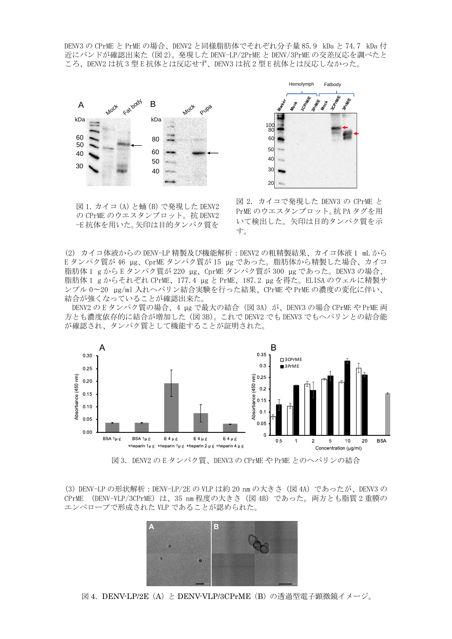DENV3 の CPrME と PrME の場合、DENV2 と同様脂肪体でそれぞれ分子量 85.9 kDa と 74.7 kDa 付 近にバンドが確認出来た (図 2)。発現した DENV-LP/2PrME と DENV/3PrME の交差反応を調べたと ころ、DENV2 は抗 3 型 E 抗体とは反応せず、DENV3 は抗 2 型 E 抗体とは反応しなかった。



図 1. カイコ (A) と蛹 (B) で発現した DENV2 の CPrME のウエスタンブロット。抗 DENV2 −( 抗体を用いた。矢印は目的タンパク質を



図 2. カイコで発現した DENV3 の CPrME と PrME のウエスタンブロット。抗 PA タグを用 いて検出した。矢印は目的タンパク質を示 す。

(2) カイコ体液からの DENV-LP 精製及び機能解析: DENV2 の粗精製結果、カイコ体液 1 mL から Eタンパク質が 46 µg、CprME タンパク質が 15 µg であった。脂肪体から精製した場合、カイコ 脂肪体 1 g から E タンパク質が 220 μg、CprME タンパク質が 300 μg であった。DENV3 の場合、 脂肪体 1 g からそれぞれ CPrME、177.4 µg と PrME、187.2 µg を得た。ELISA のウェルに精製サ ンプル 0~20 μg/ml 入れへパリン結合実験を行った結果、CPrME や PrME の濃度の変化に伴い、 結合が強くなっていることが確認出来た。

DENV2 の E タンパク質の場合、4 μg で最大の結合(図 3A)が、DENV3 の場合 CPrME や PrME 両 方とも濃度依存的に結合が増加した (図 3B)。これで DENV2 でも DENV3 でもヘパリンとの結合能 が確認され、タンパク質として機能することが証明された。



図 3. DENV2 の E タンパク質、DENV3 の CPrME や PrME とのヘパリンの結合

(3) DENV-LP の形状解析 : DENV-LP/2E の VLP は約 20 nm の大きさ (図 4A) であったが、DENV3 の CPrME (DENV-VLP/3CPrME) は、35 nm 程度の大きさ (図 4B) であった。両方とも脂質 2 重膜の エンベロープで形成された VLP であることが認められた。



図 4.DENV-LP/2E(A)と DENV-VLP/3CPrME(B)の透過型電子顕微鏡イメージ。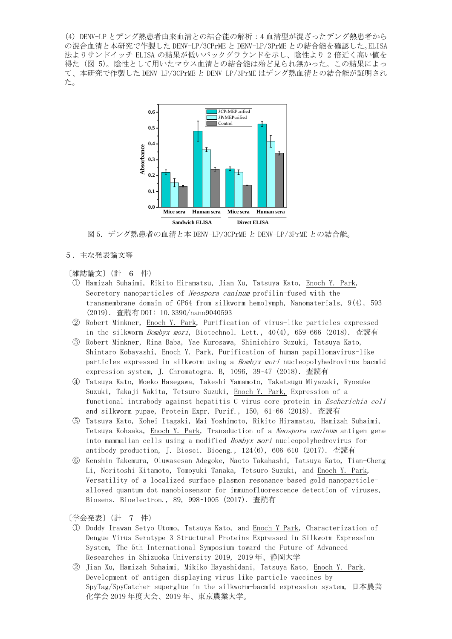(4) DENV-LP とデング熱患者由来血清との結合能の解析:4 血清型が混ざったデング熱患者から の混合血清と本研究で作製した DENV-LP/3CPrME と DENV-LP/3PrME との結合能を確認した。ELISA 法よりサンドイッチ ELISA の結果が低いバックグラウンドを示し、陰性より 2 倍近く高い値を 得た(図 5)。陰性として用いたマウス血清との結合能は殆ど見られ無かった。この結果によっ て、本研究で作製した DENV-LP/3CPrME と DENV-LP/3PrME はデング熱血清との結合能が証明され た。



図 5.デング熱患者の血清と本 DENV-LP/3CPrME と DENV-LP/3PrME との結合能。

5.主な発表論文等

## 〔雑誌論文〕(計 6 件)

- ① Hamizah Suhaimi, Rikito Hiramatsu, Jian Xu, Tatsuya Kato, Enoch Y. Park, Secretory nanoparticles of Neospora caninum profilin-fused with the transmembrane domain of GP64 from silkworm hemolymph, Nanomaterials, 9(4), 593 (2019). 査読有 DOI: 10.3390/nano9040593
- ② Robert Minkner, Enoch Y. Park, Purification of virus-like particles expressed in the silkworm *Bombyx mori*, Biotechnol. Lett.,  $40(4)$ ,  $659-666$  (2018). 査読有
- ③ Robert Minkner, Rina Baba, Yae Kurosawa, Shinichiro Suzuki, Tatsuya Kato, Shintaro Kobayashi, Enoch Y. Park, Purification of human papillomavirus-like particles expressed in silkworm using a Bombyx mori nucleopolyhedrovirus bacmid expression system, J. Chromatogra. B, 1096, 39–47 (2018). 査読有
- ④ Tatsuya Kato, Moeko Hasegawa, Takeshi Yamamoto, Takatsugu Miyazaki, Ryosuke Suzuki, Takaji Wakita, Tetsuro Suzuki, Enoch Y. Park, Expression of a functional intrabody against hepatitis C virus core protein in Escherichia coli and silkworm pupae, Protein Expr. Purif., 150, 61–66 (2018). 査読有
- ⑤ Tatsuya Kato, Kohei Itagaki, Mai Yoshimoto, Rikito Hiramatsu, Hamizah Suhaimi, Tetsuya Kohsaka, Enoch Y. Park, Transduction of a Neospora caninum antigen gene into mammalian cells using a modified Bombyx mori nucleopolyhedrovirus for antibody production, J. Biosci. Bioeng., 124(6), 606–610 (2017). 査読有
- ⑥ Kenshin Takemura, Oluwasesan Adegoke, Naoto Takahashi, Tatsuya Kato, Tian-Cheng Li, Noritoshi Kitamoto, Tomoyuki Tanaka, Tetsuro Suzuki, and Enoch Y. Park, Versatility of a localized surface plasmon resonance-based gold nanoparticlealloyed quantum dot nanobiosensor for immunofluorescence detection of viruses, Biosens. Bioelectron., 89, 998–1005 (2017). 査読有

〔学会発表〕(計 7 件)

- ① Doddy Irawan Setyo Utomo, Tatsuya Kato, and Enoch Y Park, Characterization of Dengue Virus Serotype 3 Structural Proteins Expressed in Silkworm Expression System, The 5th International Symposium toward the Future of Advanced Researches in Shizuoka University 2019, 2019 年、静岡大学
- ② Jian Xu, Hamizah Suhaimi, Mikiko Hayashidani, Tatsuya Kato, Enoch Y. Park, Development of antigen-displaying virus-like particle vaccines by SpyTag/SpyCatcher superglue in the silkworm-bacmid expression system, 日本農芸 化学会 2019 年度大会、2019 年、東京農業大学。